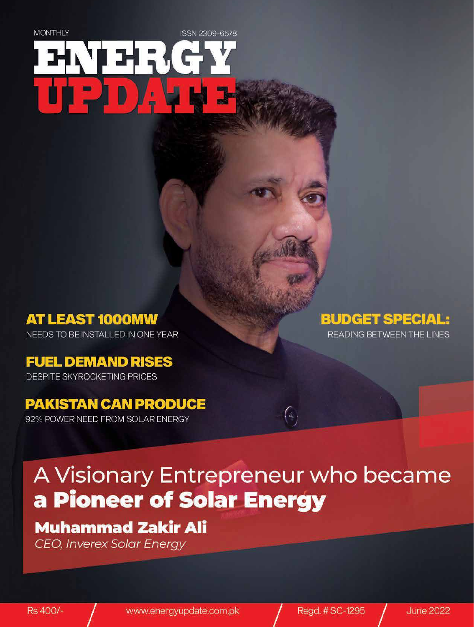# **MONTHLY** ISSN 2309-6578 ┆┵┇{

**AT LEAST 1000MW** NEEDS TO BE INSTALLED IN ONE YEAR

### **FUEL DEMAND RISES**

**DESPITE SKYROCKETING PRICES** 

### **PAKISTAN CAN PRODUCE**

92% POWER NEED FROM SOLAR ENERGY

### **BUDGET SPECIAL:**

READING BETWEEN THE LINES

## A Visionary Entrepreneur who became a Pioneer of Solar Energy

 $\bigl( \begin{smallmatrix} a & \ & \ & a \end{smallmatrix} \bigr)$ 

### **Muhammad Zakir Ali**

**CEO, Inverex Solar Energy**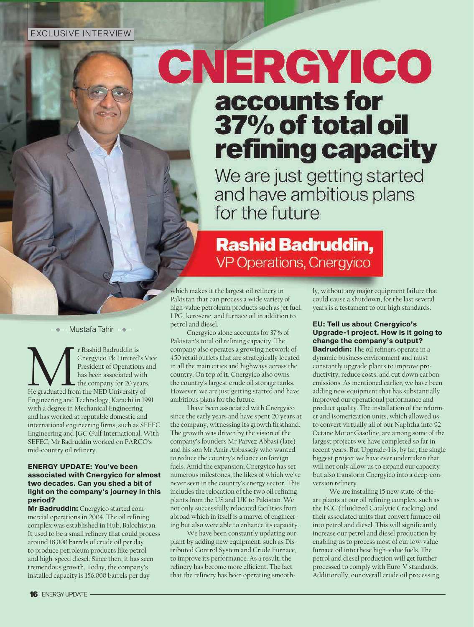# **CNERGYICO** accounts for 37% of total oil refining capacity

We are just getting started and have ambitious plans for the future

### **Rashid Badruddin, VP Operations, Cnergyico**

which makes it the largest oil refinery in Pakistan that can process a wide variety of high-value petroleum products such as jet fuel, LPG, kerosene, and furnace oil in addition to petrol and diesel.

Cnergyico alone accounts for 37% of Pakistan's total oil refining capacity. The company also operates a growing network of 450 retail outlets that are strategically located in all the main cities and highways across the country. On top of it, Cnergyico also owns the country's largest crude oil storage tanks. However, we are just getting started and have ambitious plans for the future.

I have been associated with Cnergyico since the early years and have spent 20 years at the company, witnessing its growth firsthand. The growth was driven by the vision of the company's founders Mr Parvez Abbasi (late) and his son Mr Amir Abbassciy who wanted to reduce the country's reliance on foreign fuels. Amid the expansion, Cnergyico has set numerous milestones, the likes of which we've never seen in the country's energy sector. This includes the relocation of the two oil refining plants from the US and UK to Pakistan. We not only successfully relocated facilities from abroad which in itself is a marvel of engineering but also were able to enhance its capacity.

We have been constantly updating our plant by adding new equipment, such as Distributed Control System and Crude Furnace, to improve its performance. As a result, the refinery has become more efficient. The fact that the refinery has been operating smoothly, without any major equipment failure that could cause a shutdown, for the last several years is a testament to our high standards.

#### **EU: Tell us about Cnergyico's Upgrade-1 project. How is it going to change the company's output?**

**Badruddin:** The oil refiners operate in a dynamic business environment and must constantly upgrade plants to improve pro ductivity, reduce costs, and cut down carbon emissions. As mentioned earlier, we have been adding new equipment that has substantially improved our operational performance and product quality. The installation of the reformer and isomerization units, which allowed us to convert virtually all of our Naphtha into 92 Octane Motor Gasoline, are among some of the largest projects we have completed so far in recent years. But Upgrade-1 is, by far, the single biggest project we have ever undertaken that will not only allow us to expand our capacity but also transform Cnergyico into a deep-conversion refinery.

We are installing 15 new state-of-theart plants at our oil refining complex, such as the FCC (Fluidized Catalytic Cracking) and their associated units that convert furnace oil into petrol and diesel. This will significantly increase our petrol and diesel production by enabling us to process most of our low-value furnace oil into these high-value fuels. The petrol and diesel production will get further processed to comply with Euro-V standards. Additionally, our overall crude oil processing

Mustafa Tahir

The Rashid Badruddin is<br>
Cnergyico Pk Limited's V<br>
President of Operations<br>
has been associated with<br>
the company for 20 years<br>
the NED University of Cnergyico Pk Limited's Vice President of Operations and has been associated with  $\blacksquare$  the company for 20 years. Engineering and Technology, Karachi in 1991 with a degree in Mechanical Engineering and has worked at reputable domestic and international engineering firms, such as SEFEC Engineering and JGC Gulf International. With SEFEC, Mr Badruddin worked on PARCO's mid-country oil refinery.

#### **ENERGY UPDATE: You've been associated with Cnergyico for almost two decades. Can you shed a bit of light on the company's journey in this period?**

**Mr Badruddin:** Cnergyico started com mercial operations in 2004. The oil refining complex was established in Hub, Balochistan. It used to be a small refinery that could process around 18,000 barrels of crude oil per day to produce petroleum products like petrol and high-speed diesel. Since then, it has seen tremendous growth. Today, the company's installed capacity is 156,000 barrels per day